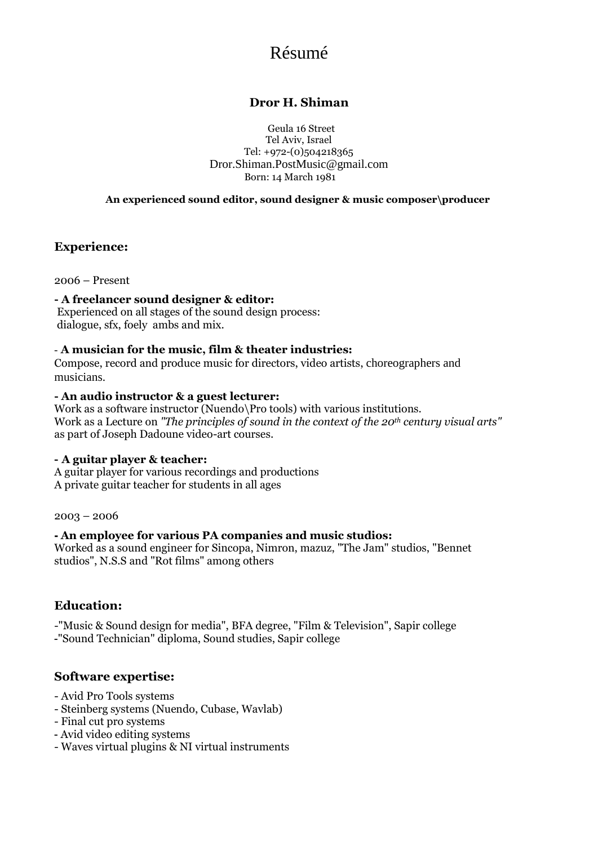# Résumé

### **Dror H. Shiman**

Geula 16 Street Tel Aviv, Israel Tel: +972-(0)504218365 Dror.Shiman.PostMusic@gmail.com Born: 14 March 1981

**An experienced sound editor, sound designer & music composer\producer** 

### **Experience:**

2006 – Present

### **- A freelancer sound designer & editor:**

Experienced on all stages of the sound design process: dialogue, sfx, foely ambs and mix.

#### - **A musician for the music, film & theater industries:**

Compose, record and produce music for directors, video artists, choreographers and musicians.

#### **- An audio instructor & a guest lecturer:**

Work as a software instructor (Nuendo\Pro tools) with various institutions. Work as a Lecture on *"The principles of sound in the context of the 20th century visual arts"* as part of Joseph Dadoune video-art courses.

#### **- A guitar player & teacher:**

A guitar player for various recordings and productions A private guitar teacher for students in all ages

2003 – 2006

### **- An employee for various PA companies and music studios:**

Worked as a sound engineer for Sincopa, Nimron, mazuz, "The Jam" studios, "Bennet studios", N.S.S and "Rot films" among others

### **Education:**

-"Music & Sound design for media", BFA degree, "Film & Television", Sapir college -"Sound Technician" diploma, Sound studies, Sapir college

### **Software expertise:**

- Avid Pro Tools systems
- Steinberg systems (Nuendo, Cubase, Wavlab)
- Final cut pro systems
- Avid video editing systems
- Waves virtual plugins & NI virtual instruments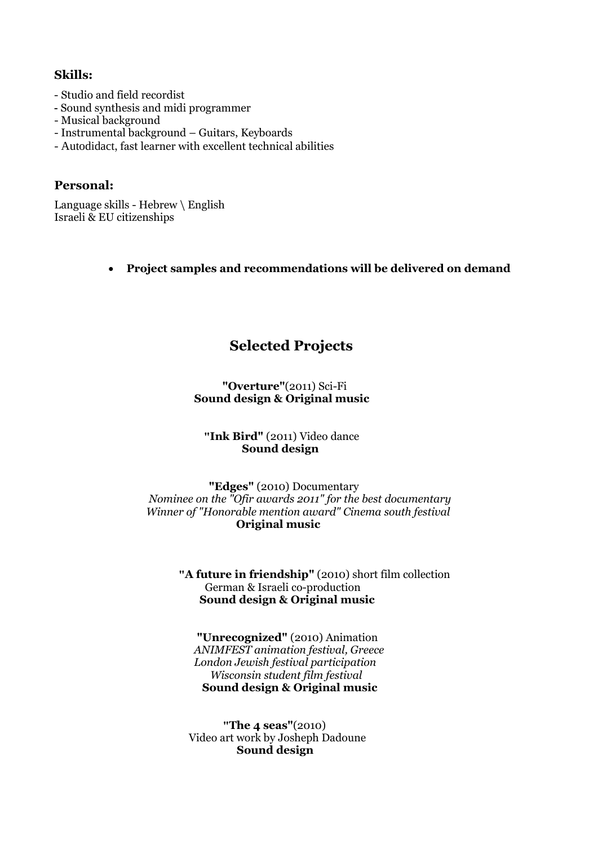### **Skills:**

- Studio and field recordist
- Sound synthesis and midi programmer
- Musical background
- Instrumental background Guitars, Keyboards
- Autodidact, fast learner with excellent technical abilities

### **Personal:**

Language skills - Hebrew \ English Israeli & EU citizenships

### **Project samples and recommendations will be delivered on demand**

## **Selected Projects**

### **"Overture"**(2011) Sci-Fi  **Sound design & Original music**

### **"Ink Bird"** (2011) Video dance  **Sound design**

 **"Edges"** (2010) Documentary  *Nominee on the "Ofir awards 2011" for the best documentary Winner of "Honorable mention award" Cinema south festival*  **Original music**

> **"A future in friendship"** (2010) short film collection German & Israeli co-production **Sound design & Original music**

 **"Unrecognized"** (2010) Animation  *ANIMFEST animation festival, Greece London Jewish festival participation Wisconsin student film festival* **Sound design & Original music**

 **"The 4 seas"**(2010) Video art work by Josheph Dadoune **Sound design**